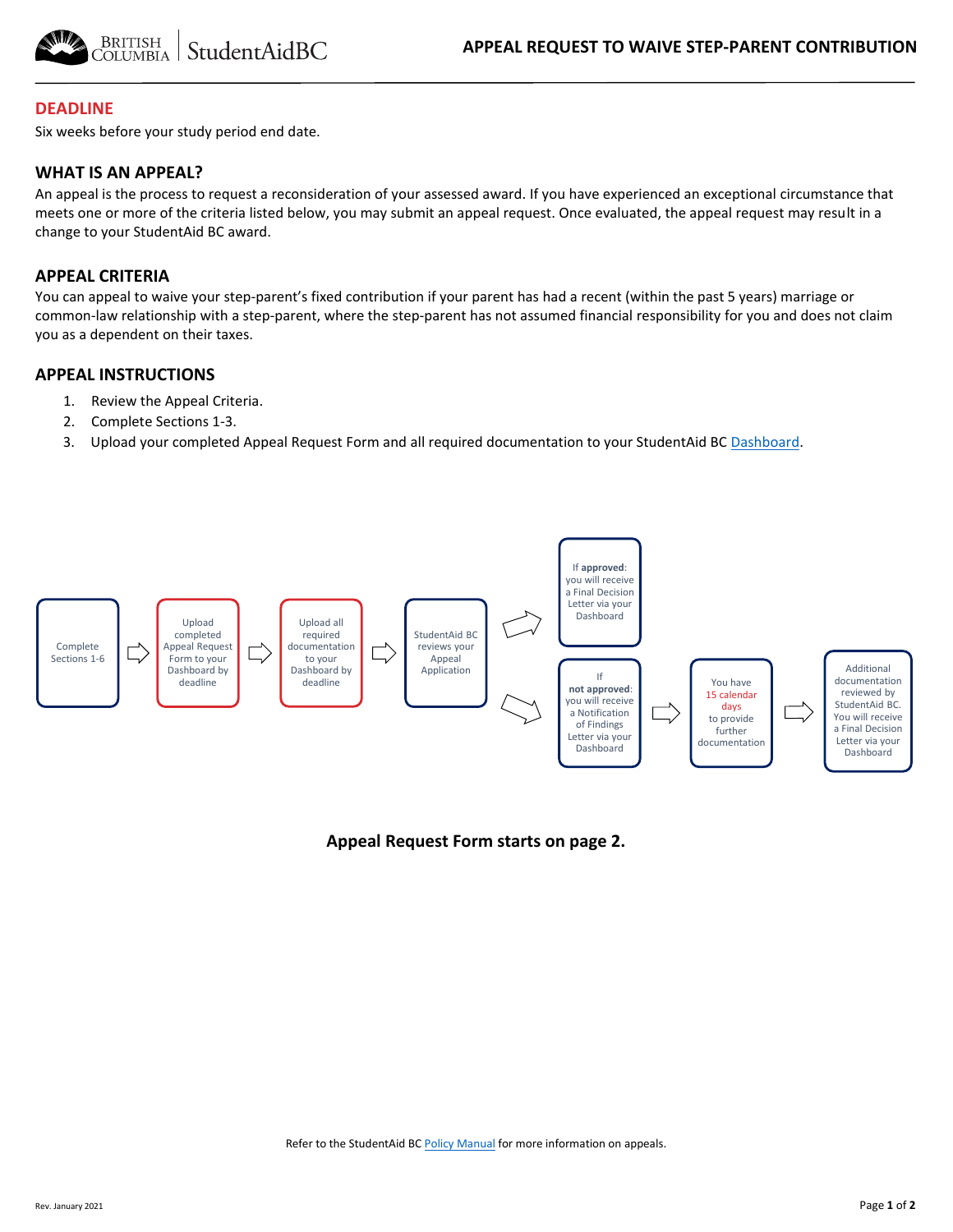



### **DEADLINE**

Six weeks before your study period end date.

### **WHAT IS AN APPEAL?**

An appeal is the process to request a reconsideration of your assessed award. If you have experienced an exceptional circumstance that meets one or more of the criteria listed below, you may submit an appeal request. Once evaluated, the appeal request may result in a change to your StudentAid BC award.

#### **APPEAL CRITERIA**

You can appeal to waive your step-parent's fixed contribution if your parent has had a recent (within the past 5 years) marriage or common-law relationship with a step-parent, where the step-parent has not assumed financial responsibility for you and does not claim you as a dependent on their taxes.

#### **APPEAL INSTRUCTIONS**

- 1. Review the Appeal Criteria.
- 2. Complete Sections 1-3.
- 3. Upload your completed Appeal Request Form and all required documentation to your StudentAid BC [Dashboard.](https://studentaidbc.ca/dashboard/login)



### **Appeal Request Form starts on page 2.**